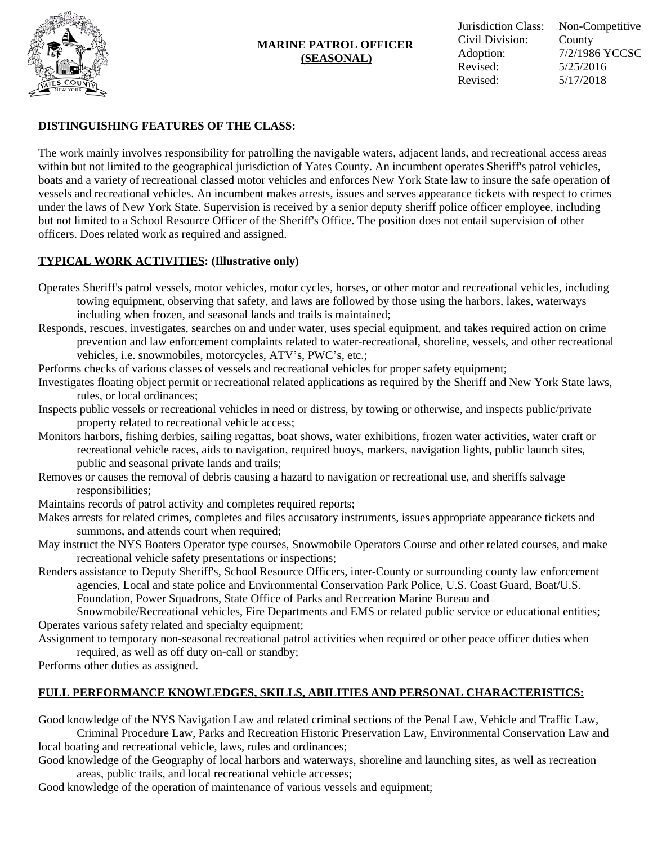

# **MARINE PATROL OFFICER (SEASONAL)**

# **DISTINGUISHING FEATURES OF THE CLASS:**

The work mainly involves responsibility for patrolling the navigable waters, adjacent lands, and recreational access areas within but not limited to the geographical jurisdiction of Yates County. An incumbent operates Sheriff's patrol vehicles, boats and a variety of recreational classed motor vehicles and enforces New York State law to insure the safe operation of vessels and recreational vehicles. An incumbent makes arrests, issues and serves appearance tickets with respect to crimes under the laws of New York State. Supervision is received by a senior deputy sheriff police officer employee, including but not limited to a School Resource Officer of the Sheriff's Office. The position does not entail supervision of other officers. Does related work as required and assigned.

## **TYPICAL WORK ACTIVITIES: (Illustrative only)**

- Operates Sheriff's patrol vessels, motor vehicles, motor cycles, horses, or other motor and recreational vehicles, including towing equipment, observing that safety, and laws are followed by those using the harbors, lakes, waterways including when frozen, and seasonal lands and trails is maintained;
- Responds, rescues, investigates, searches on and under water, uses special equipment, and takes required action on crime prevention and law enforcement complaints related to water-recreational, shoreline, vessels, and other recreational vehicles, i.e. snowmobiles, motorcycles, ATV's, PWC's, etc.;
- Performs checks of various classes of vessels and recreational vehicles for proper safety equipment;
- Investigates floating object permit or recreational related applications as required by the Sheriff and New York State laws, rules, or local ordinances;
- Inspects public vessels or recreational vehicles in need or distress, by towing or otherwise, and inspects public/private property related to recreational vehicle access;
- Monitors harbors, fishing derbies, sailing regattas, boat shows, water exhibitions, frozen water activities, water craft or recreational vehicle races, aids to navigation, required buoys, markers, navigation lights, public launch sites, public and seasonal private lands and trails;
- Removes or causes the removal of debris causing a hazard to navigation or recreational use, and sheriffs salvage responsibilities;
- Maintains records of patrol activity and completes required reports;
- Makes arrests for related crimes, completes and files accusatory instruments, issues appropriate appearance tickets and summons, and attends court when required;
- May instruct the NYS Boaters Operator type courses, Snowmobile Operators Course and other related courses, and make recreational vehicle safety presentations or inspections;
- Renders assistance to Deputy Sheriff's, School Resource Officers, inter-County or surrounding county law enforcement agencies, Local and state police and Environmental Conservation Park Police, U.S. Coast Guard, Boat/U.S. Foundation, Power Squadrons, State Office of Parks and Recreation Marine Bureau and

Snowmobile/Recreational vehicles, Fire Departments and EMS or related public service or educational entities; Operates various safety related and specialty equipment;

Assignment to temporary non-seasonal recreational patrol activities when required or other peace officer duties when required, as well as off duty on-call or standby;

Performs other duties as assigned.

# **FULL PERFORMANCE KNOWLEDGES, SKILLS, ABILITIES AND PERSONAL CHARACTERISTICS:**

Good knowledge of the NYS Navigation Law and related criminal sections of the Penal Law, Vehicle and Traffic Law, Criminal Procedure Law, Parks and Recreation Historic Preservation Law, Environmental Conservation Law and

local boating and recreational vehicle, laws, rules and ordinances;

Good knowledge of the Geography of local harbors and waterways, shoreline and launching sites, as well as recreation areas, public trails, and local recreational vehicle accesses;

Good knowledge of the operation of maintenance of various vessels and equipment;